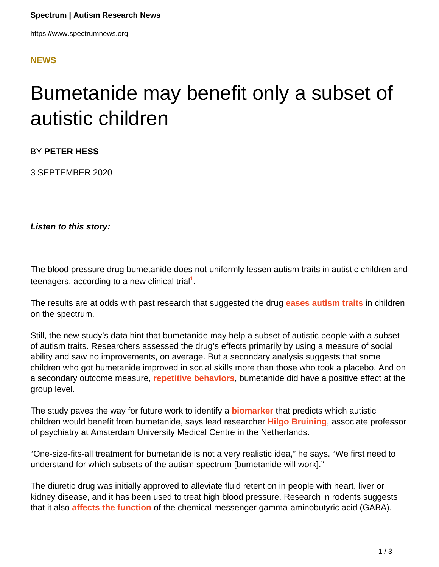#### **[NEWS](HTTPS://WWW.SPECTRUMNEWS.ORG/NEWS/)**

# Bumetanide may benefit only a subset of autistic children

BY **PETER HESS**

3 SEPTEMBER 2020

**Listen to this story:**

The blood pressure drug bumetanide does not uniformly lessen autism traits in autistic children and teenagers, according to a new clinical trial**<sup>1</sup>** .

The results are at odds with past research that suggested the drug **[eases autism traits](https://www.spectrumnews.org/news/trials-repurposed-drug-shows-promise-autism/)** in children on the spectrum.

Still, the new study's data hint that bumetanide may help a subset of autistic people with a subset of autism traits. Researchers assessed the drug's effects primarily by using a measure of social ability and saw no improvements, on average. But a secondary analysis suggests that some children who got bumetanide improved in social skills more than those who took a placebo. And on a secondary outcome measure, **[repetitive behaviors](https://www.spectrumnews.org/wiki/repetitive-behavior/)**, bumetanide did have a positive effect at the group level.

The study paves the way for future work to identify a **[biomarker](https://www.spectrumnews.org/wiki/biomarkers/)** that predicts which autistic children would benefit from bumetanide, says lead researcher **[Hilgo Bruining](https://research.vumc.nl/en/persons/hilgo-bruining)**, associate professor of psychiatry at Amsterdam University Medical Centre in the Netherlands.

"One-size-fits-all treatment for bumetanide is not a very realistic idea," he says. "We first need to understand for which subsets of the autism spectrum [bumetanide will work]."

The diuretic drug was initially approved to alleviate fluid retention in people with heart, liver or kidney disease, and it has been used to treat high blood pressure. Research in rodents suggests that it also **[affects the function](https://www.spectrumnews.org/opinion/blood-pressure-drug-may-protect-brain-from-seizures/)** of the chemical messenger gamma-aminobutyric acid (GABA),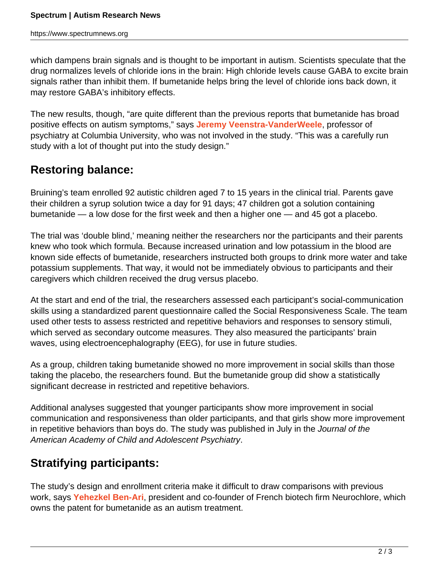which dampens brain signals and is thought to be important in autism. Scientists speculate that the drug normalizes levels of chloride ions in the brain: High chloride levels cause GABA to excite brain signals rather than inhibit them. If bumetanide helps bring the level of chloride ions back down, it may restore GABA's inhibitory effects.

The new results, though, "are quite different than the previous reports that bumetanide has broad positive effects on autism symptoms," says **[Jeremy Veenstra-VanderWeele](https://www.spectrumnews.org/author/jeremy/)**, professor of psychiatry at Columbia University, who was not involved in the study. "This was a carefully run study with a lot of thought put into the study design."

### **Restoring balance:**

Bruining's team enrolled 92 autistic children aged 7 to 15 years in the clinical trial. Parents gave their children a syrup solution twice a day for 91 days; 47 children got a solution containing bumetanide — a low dose for the first week and then a higher one — and 45 got a placebo.

The trial was 'double blind,' meaning neither the researchers nor the participants and their parents knew who took which formula. Because increased urination and low potassium in the blood are known side effects of bumetanide, researchers instructed both groups to drink more water and take potassium supplements. That way, it would not be immediately obvious to participants and their caregivers which children received the drug versus placebo.

At the start and end of the trial, the researchers assessed each participant's social-communication skills using a standardized parent questionnaire called the Social Responsiveness Scale. The team used other tests to assess restricted and repetitive behaviors and responses to sensory stimuli, which served as secondary outcome measures. They also measured the participants' brain waves, using electroencephalography (EEG), for use in future studies.

As a group, children taking bumetanide showed no more improvement in social skills than those taking the placebo, the researchers found. But the bumetanide group did show a statistically significant decrease in restricted and repetitive behaviors.

Additional analyses suggested that younger participants show more improvement in social communication and responsiveness than older participants, and that girls show more improvement in repetitive behaviors than boys do. The study was published in July in the Journal of the American Academy of Child and Adolescent Psychiatry.

## **Stratifying participants:**

The study's design and enrollment criteria make it difficult to draw comparisons with previous work, says **[Yehezkel Ben-Ari](http://www.neurochlore.fr/about-us/)**, president and co-founder of French biotech firm Neurochlore, which owns the patent for bumetanide as an autism treatment.